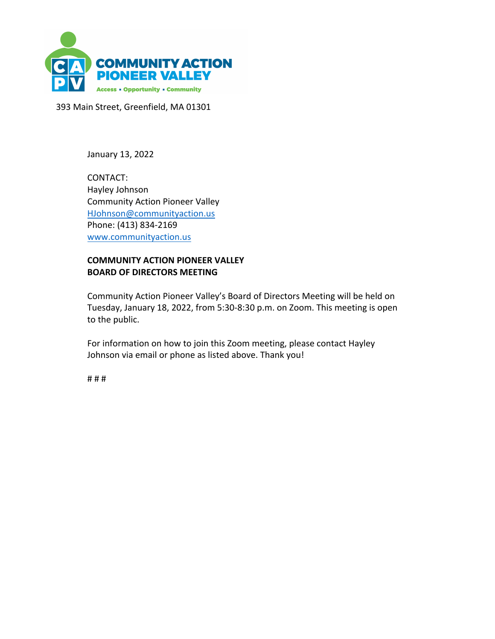

393 Main Street, Greenfield, MA 01301

January 13, 2022

CONTACT: Hayley Johnson Community Action Pioneer Valley HJohnson@communityaction.us Phone: (413) 834-2169 www.communityaction.us

## **COMMUNITY ACTION PIONEER VALLEY BOARD OF DIRECTORS MEETING**

Community Action Pioneer Valley's Board of Directors Meeting will be held on Tuesday, January 18, 2022, from 5:30-8:30 p.m. on Zoom. This meeting is open to the public.

For information on how to join this Zoom meeting, please contact Hayley Johnson via email or phone as listed above. Thank you!

# # #